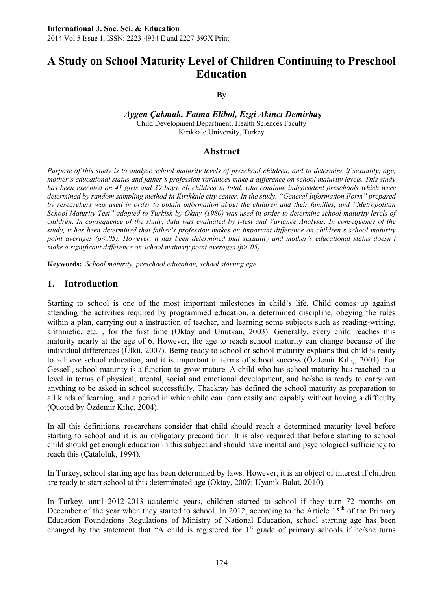# **A Study on School Maturity Level of Children Continuing to Preschool Education**

#### **By**

*Aygen Çakmak, Fatma Elibol, Ezgi Akıncı Demirbaş* Child Development Department, Health Sciences Faculty Kırıkkale University, Turkey

#### **Abstract**

*Purpose of this study is to analyze school maturity levels of preschool children, and to determine if sexuality, age, mother's educational status and father's profession variances make a difference on school maturity levels. This study has been executed on 41 girls and 39 boys, 80 children in total, who continue independent preschools which were determined by random sampling method in Kırıkkale city center. In the study, "General Information Form" prepared by researchers was used in order to obtain information about the children and their families, and "Metropolitan School Maturity Test" adapted to Turkish by Oktay (1980) was used in order to determine school maturity levels of children. In consequence of the study, data was evaluated by t-test and Variance Analysis. In consequence of the study, it has been determined that father's profession makes an important difference on children's school maturity point averages (p<.05). However, it has been determined that sexuality and mother's educational status doesn't make a significant difference on school maturity point averages (p>.05).*

**Keywords:** *School maturity, preschool education, school starting age*

#### **1. Introduction**

Starting to school is one of the most important milestones in child's life. Child comes up against attending the activities required by programmed education, a determined discipline, obeying the rules within a plan, carrying out a instruction of teacher, and learning some subjects such as reading-writing, arithmetic, etc. , for the first time (Oktay and Unutkan, 2003). Generally, every child reaches this maturity nearly at the age of 6. However, the age to reach school maturity can change because of the individual differences (Ülkü, 2007). Being ready to school or school maturity explains that child is ready to achieve school education, and it is important in terms of school success (Özdemir Kılıç, 2004). For Gessell, school maturity is a function to grow mature. A child who has school maturity has reached to a level in terms of physical, mental, social and emotional development, and he/she is ready to carry out anything to be asked in school successfully. Thackray has defined the school maturity as preparation to all kinds of learning, and a period in which child can learn easily and capably without having a difficulty (Quoted by Özdemir Kılıç, 2004).

In all this definitions, researchers consider that child should reach a determined maturity level before starting to school and it is an obligatory precondition. It is also required that before starting to school child should get enough education in this subject and should have mental and psychological sufficiency to reach this (Çataloluk, 1994).

In Turkey, school starting age has been determined by laws. However, it is an object of interest if children are ready to start school at this determinated age (Oktay, 2007; Uyanık-Balat, 2010).

In Turkey, until 2012-2013 academic years, children started to school if they turn 72 months on December of the year when they started to school. In 2012, according to the Article  $15<sup>th</sup>$  of the Primary Education Foundations Regulations of Ministry of National Education, school starting age has been changed by the statement that "A child is registered for  $1<sup>st</sup>$  grade of primary schools if he/she turns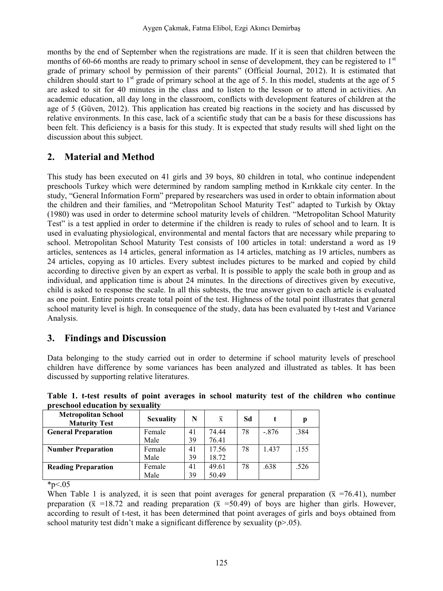months by the end of September when the registrations are made. If it is seen that children between the months of 60-66 months are ready to primary school in sense of development, they can be registered to  $1<sup>st</sup>$ grade of primary school by permission of their parents" (Official Journal, 2012). It is estimated that children should start to  $1<sup>st</sup>$  grade of primary school at the age of 5. In this model, students at the age of 5 are asked to sit for 40 minutes in the class and to listen to the lesson or to attend in activities. An academic education, all day long in the classroom, conflicts with development features of children at the age of 5 (Güven, 2012). This application has created big reactions in the society and has discussed by relative environments. In this case, lack of a scientific study that can be a basis for these discussions has been felt. This deficiency is a basis for this study. It is expected that study results will shed light on the discussion about this subject.

## **2. Material and Method**

This study has been executed on 41 girls and 39 boys, 80 children in total, who continue independent preschools Turkey which were determined by random sampling method in Kırıkkale city center. In the study, "General Information Form" prepared by researchers was used in order to obtain information about the children and their families, and "Metropolitan School Maturity Test" adapted to Turkish by Oktay (1980) was used in order to determine school maturity levels of children. "Metropolitan School Maturity Test" is a test applied in order to determine if the children is ready to rules of school and to learn. It is used in evaluating physiological, environmental and mental factors that are necessary while preparing to school. Metropolitan School Maturity Test consists of 100 articles in total: understand a word as 19 articles, sentences as 14 articles, general information as 14 articles, matching as 19 articles, numbers as 24 articles, copying as 10 articles. Every subtest includes pictures to be marked and copied by child according to directive given by an expert as verbal. It is possible to apply the scale both in group and as individual, and application time is about 24 minutes. In the directions of directives given by executive, child is asked to response the scale. In all this subtests, the true answer given to each article is evaluated as one point. Entire points create total point of the test. Highness of the total point illustrates that general school maturity level is high. In consequence of the study, data has been evaluated by t-test and Variance Analysis.

## **3. Findings and Discussion**

Data belonging to the study carried out in order to determine if school maturity levels of preschool children have difference by some variances has been analyzed and illustrated as tables. It has been discussed by supporting relative literatures.

|  |                                  |  |  | Table 1. t-test results of point averages in school maturity test of the children who continue |  |  |  |
|--|----------------------------------|--|--|------------------------------------------------------------------------------------------------|--|--|--|
|  | preschool education by sexuality |  |  |                                                                                                |  |  |  |

| <b>Metropolitan School</b><br><b>Maturity Test</b> | <b>Sexuality</b> | N  | $\overline{x}$ | Sd |        |      |
|----------------------------------------------------|------------------|----|----------------|----|--------|------|
| <b>General Preparation</b>                         | Female           | 41 | 74.44          | 78 | $-876$ | 384  |
|                                                    | Male             | 39 | 76.41          |    |        |      |
| <b>Number Preparation</b>                          | Female           | 41 | 17.56          | 78 | 1.437  | .155 |
|                                                    | Male             | 39 | 18.72          |    |        |      |
| <b>Reading Preparation</b>                         | Female           | 41 | 49.61          | 78 | .638   | .526 |
|                                                    | Male             | 39 | 50.49          |    |        |      |

 $*_{p<.05}$ 

When Table 1 is analyzed, it is seen that point averages for general preparation ( $\bar{x}$  =76.41), number preparation ( $\bar{x}$  =18.72 and reading preparation ( $\bar{x}$  =50.49) of boys are higher than girls. However, according to result of t-test, it has been determined that point averages of girls and boys obtained from school maturity test didn't make a significant difference by sexuality  $(p>0.05)$ .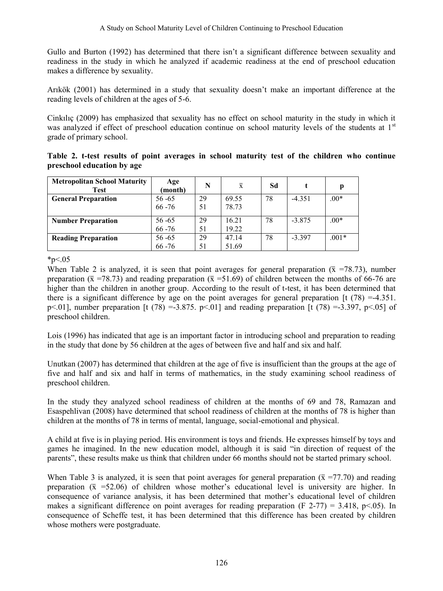Gullo and Burton (1992) has determined that there isn't a significant difference between sexuality and readiness in the study in which he analyzed if academic readiness at the end of preschool education makes a difference by sexuality.

Arikök (2001) has determined in a study that sexuality doesn't make an important difference at the reading levels of children at the ages of 5-6.

Cinkilic (2009) has emphasized that sexuality has no effect on school maturity in the study in which it was analyzed if effect of preschool education continue on school maturity levels of the students at  $1<sup>st</sup>$ grade of primary school.

|                            |  |  |  | Table 2. t-test results of point averages in school maturity test of the children who continue |  |  |  |
|----------------------------|--|--|--|------------------------------------------------------------------------------------------------|--|--|--|
| preschool education by age |  |  |  |                                                                                                |  |  |  |

| <b>Metropolitan School Maturity</b><br><b>Test</b> | Age<br>(month) | N  | $\overline{\mathbf{x}}$ | Sd |          | p       |
|----------------------------------------------------|----------------|----|-------------------------|----|----------|---------|
| <b>General Preparation</b>                         | $56 - 65$      | 29 | 69.55                   | 78 | $-4.351$ | $.00*$  |
|                                                    | $66 - 76$      | 51 | 78.73                   |    |          |         |
| <b>Number Preparation</b>                          | $56 - 65$      | 29 | 16.21                   | 78 | $-3.875$ | $.00*$  |
|                                                    | $66 - 76$      | 51 | 19.22                   |    |          |         |
| <b>Reading Preparation</b>                         | $56 - 65$      | 29 | 47.14                   | 78 | $-3.397$ | $.001*$ |
|                                                    | $66 - 76$      | 51 | 51.69                   |    |          |         |

 $*_{p<.05}$ 

When Table 2 is analyzed, it is seen that point averages for general preparation ( $\bar{x}$  =78.73), number preparation ( $\bar{x}$  =78.73) and reading preparation ( $\bar{x}$  =51.69) of children between the months of 66-76 are higher than the children in another group. According to the result of t-test, it has been determined that there is a significant difference by age on the point averages for general preparation  $\lceil t \rceil (78) = -4.351$ .  $p<.01$ ], number preparation [t (78) = 3.875,  $p<.01$ ] and reading preparation [t (78) = 3.397,  $p<.05$ ] of preschool children.

Lois (1996) has indicated that age is an important factor in introducing school and preparation to reading in the study that done by 56 children at the ages of between five and half and six and half.

Unutkan (2007) has determined that children at the age of five is insufficient than the groups at the age of five and half and six and half in terms of mathematics, in the study examining school readiness of preschool children.

In the study they analyzed school readiness of children at the months of 69 and 78, Ramazan and Esaspehlivan (2008) have determined that school readiness of children at the months of 78 is higher than children at the months of 78 in terms of mental, language, social-emotional and physical.

A child at five is in playing period. His environment is toys and friends. He expresses himself by toys and games he imagined. In the new education model, although it is said "in direction of request of the parents", these results make us think that children under 66 months should not be started primary school.

When Table 3 is analyzed, it is seen that point averages for general preparation ( $\bar{x}$  =77.70) and reading preparation ( $\bar{x}$  =52.06) of children whose mother's educational level is university are higher. In consequence of variance analysis, it has been determined that mother's educational level of children makes a significant difference on point averages for reading preparation (F 2-77) = 3.418, p<.05). In consequence of Scheffe test, it has been determined that this difference has been created by children whose mothers were postgraduate.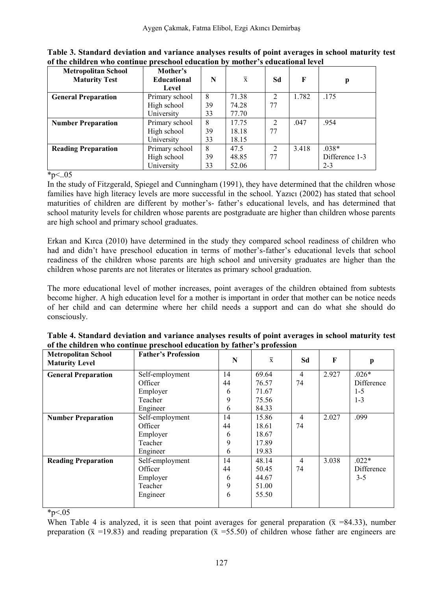| <b>Metropolitan School</b> | Mother's       |    |                |                |       |                |
|----------------------------|----------------|----|----------------|----------------|-------|----------------|
| <b>Maturity Test</b>       | Educational    | N  | $\overline{x}$ | Sd             | F     | p              |
|                            | Level          |    |                |                |       |                |
| <b>General Preparation</b> | Primary school | 8  | 71.38          | 2              | 1.782 | .175           |
|                            | High school    | 39 | 74.28          | 77             |       |                |
|                            | University     | 33 | 77.70          |                |       |                |
| <b>Number Preparation</b>  | Primary school | 8  | 17.75          | $\overline{2}$ | .047  | .954           |
|                            | High school    | 39 | 18.18          | 77             |       |                |
|                            | University     | 33 | 18.15          |                |       |                |
| <b>Reading Preparation</b> | Primary school | 8  | 47.5           | $\overline{2}$ | 3.418 | $.038*$        |
|                            | High school    | 39 | 48.85          | 77             |       | Difference 1-3 |
|                            | University     | 33 | 52.06          |                |       | $2 - 3$        |

**Table 3. Standard deviation and variance analyses results of point averages in school maturity test of the children who continue preschool education by mother's educational level** 

 $\overline{*}_{p<.05}$ 

In the study of Fitzgerald, Spiegel and Cunningham (1991), they have determined that the children whose families have high literacy levels are more successful in the school. Yazıcı (2002) has stated that school maturities of children are different by mother's- father's educational levels, and has determined that school maturity levels for children whose parents are postgraduate are higher than children whose parents are high school and primary school graduates.

Erkan and Kırca (2010) have determined in the study they compared school readiness of children who had and didn't have preschool education in terms of mother's-father's educational levels that school readiness of the children whose parents are high school and university graduates are higher than the children whose parents are not literates or literates as primary school graduation.

The more educational level of mother increases, point averages of the children obtained from subtests become higher. A high education level for a mother is important in order that mother can be notice needs of her child and can determine where her child needs a support and can do what she should do consciously.

| <b>Metropolitan School</b><br><b>Maturity Level</b> | <b>Father's Profession</b> | N  | $\overline{x}$ | Sd             | F     | p          |
|-----------------------------------------------------|----------------------------|----|----------------|----------------|-------|------------|
| <b>General Preparation</b>                          | Self-employment            | 14 | 69.64          | $\overline{4}$ | 2.927 | $.026*$    |
|                                                     | Officer                    | 44 | 76.57          | 74             |       | Difference |
|                                                     | Employer                   | 6  | 71.67          |                |       | $1 - 5$    |
|                                                     | Teacher                    | 9  | 75.56          |                |       | $1 - 3$    |
|                                                     | Engineer                   | 6  | 84.33          |                |       |            |
| <b>Number Preparation</b>                           | Self-employment            | 14 | 15.86          | $\overline{4}$ | 2.027 | .099       |
|                                                     | Officer                    | 44 | 18.61          | 74             |       |            |
|                                                     | Employer                   | 6  | 18.67          |                |       |            |
|                                                     | Teacher                    | 9  | 17.89          |                |       |            |
|                                                     | Engineer                   | 6  | 19.83          |                |       |            |
| <b>Reading Preparation</b>                          | Self-employment            | 14 | 48.14          | $\overline{4}$ | 3.038 | $.022*$    |
|                                                     | Officer                    | 44 | 50.45          | 74             |       | Difference |
|                                                     | Employer                   | 6  | 44.67          |                |       | $3 - 5$    |
|                                                     | Teacher                    | 9  | 51.00          |                |       |            |
|                                                     | Engineer                   | 6  | 55.50          |                |       |            |
|                                                     |                            |    |                |                |       |            |

**Table 4. Standard deviation and variance analyses results of point averages in school maturity test of the children who continue preschool education by father's profession** 

\*p $< 0.05$ 

When Table 4 is analyzed, it is seen that point averages for general preparation ( $\bar{x}$  =84.33), number preparation ( $\bar{x}$  =19.83) and reading preparation ( $\bar{x}$  =55.50) of children whose father are engineers are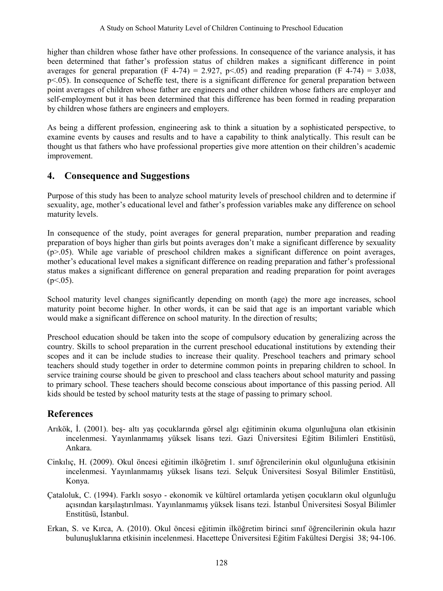higher than children whose father have other professions. In consequence of the variance analysis, it has been determined that father's profession status of children makes a significant difference in point averages for general preparation (F 4-74) = 2.927, p<.05) and reading preparation (F 4-74) = 3.038, p<.05). In consequence of Scheffe test, there is a significant difference for general preparation between point averages of children whose father are engineers and other children whose fathers are employer and self-employment but it has been determined that this difference has been formed in reading preparation by children whose fathers are engineers and employers.

As being a different profession, engineering ask to think a situation by a sophisticated perspective, to examine events by causes and results and to have a capability to think analytically. This result can be thought us that fathers who have professional properties give more attention on their children's academic improvement.

### **4. Consequence and Suggestions**

Purpose of this study has been to analyze school maturity levels of preschool children and to determine if sexuality, age, mother's educational level and father's profession variables make any difference on school maturity levels.

In consequence of the study, point averages for general preparation, number preparation and reading preparation of boys higher than girls but points averages don't make a significant difference by sexuality (p>.05). While age variable of preschool children makes a significant difference on point averages, mother's educational level makes a significant difference on reading preparation and father's professional status makes a significant difference on general preparation and reading preparation for point averages  $(p<.05)$ .

School maturity level changes significantly depending on month (age) the more age increases, school maturity point become higher. In other words, it can be said that age is an important variable which would make a significant difference on school maturity. In the direction of results;

Preschool education should be taken into the scope of compulsory education by generalizing across the country. Skills to school preparation in the current preschool educational institutions by extending their scopes and it can be include studies to increase their quality. Preschool teachers and primary school teachers should study together in order to determine common points in preparing children to school. In service training course should be given to preschool and class teachers about school maturity and passing to primary school. These teachers should become conscious about importance of this passing period. All kids should be tested by school maturity tests at the stage of passing to primary school.

# **References**

- Arıkök, İ. (2001). beş- altı yaş çocuklarında görsel algı eğitiminin okuma olgunluğuna olan etkisinin incelenmesi. Yayınlanmamış yüksek lisans tezi. Gazi Üniversitesi Eğitim Bilimleri Enstitüsü, Ankara.
- Cinkılıç, H. (2009). Okul öncesi eğitimin ilköğretim 1. sınıf öğrencilerinin okul olgunluğuna etkisinin incelenmesi. Yayınlanmamış yüksek lisans tezi. Selçuk Üniversitesi Sosyal Bilimler Enstitüsü, Konya.
- Çataloluk, C. (1994). Farklı sosyo ekonomik ve kültürel ortamlarda yetişen çocukların okul olgunluğu açısından karşılaştırılması. Yayınlanmamış yüksek lisans tezi. İstanbul Üniversitesi Sosyal Bilimler Enstitüsü, İstanbul.
- Erkan, S. ve Kırca, A. (2010). Okul öncesi eğitimin ilköğretim birinci sınıf öğrencilerinin okula hazır bulunuşluklarına etkisinin incelenmesi. Hacettepe Üniversitesi Eğitim Fakültesi Dergisi 38; 94-106.